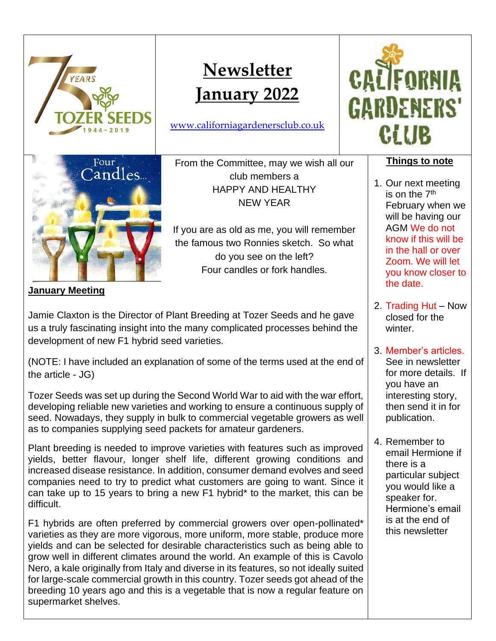

**January Meeting**

Jamie Claxton is the Director of Plant Breeding at Tozer Seeds and he gave us a truly fascinating insight into the many complicated processes behind the development of new F1 hybrid seed varieties.

(NOTE: I have included an explanation of some of the terms used at the end of the article - JG)

Tozer Seeds was set up during the Second World War to aid with the war effort, developing reliable new varieties and working to ensure a continuous supply of seed. Nowadays, they supply in bulk to commercial vegetable growers as well as to companies supplying seed packets for amateur gardeners.

Plant breeding is needed to improve varieties with features such as improved yields, better flavour, longer shelf life, different growing conditions and increased disease resistance. In addition, consumer demand evolves and seed companies need to try to predict what customers are going to want. Since it can take up to 15 years to bring a new F1 hybrid\* to the market, this can be difficult.

F1 hybrids are often preferred by commercial growers over open-pollinated\* varieties as they are more vigorous, more uniform, more stable, produce more yields and can be selected for desirable characteristics such as being able to grow well in different climates around the world. An example of this is Cavolo Nero, a kale originally from Italy and diverse in its features, so not ideally suited for large-scale commercial growth in this country. Tozer seeds got ahead of the breeding 10 years ago and this is a vegetable that is now a regular feature on supermarket shelves.

winter. 3. Member's articles. See in newsletter for more details. If you have an interesting story,

then send it in for

publication.

2. Trading Hut – Now closed for the

4. Remember to email Hermione if there is a particular subject you would like a speaker for. Hermione's email is at the end of this newsletter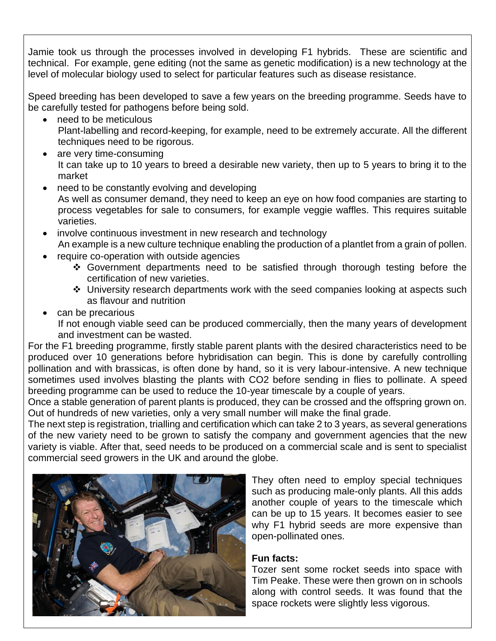Jamie took us through the processes involved in developing F1 hybrids. These are scientific and technical. For example, gene editing (not the same as genetic modification) is a new technology at the level of molecular biology used to select for particular features such as disease resistance.

Speed breeding has been developed to save a few years on the breeding programme. Seeds have to be carefully tested for pathogens before being sold.

- need to be meticulous Plant-labelling and record-keeping, for example, need to be extremely accurate. All the different techniques need to be rigorous.
- are very time-consuming It can take up to 10 years to breed a desirable new variety, then up to 5 years to bring it to the market
- need to be constantly evolving and developing As well as consumer demand, they need to keep an eye on how food companies are starting to process vegetables for sale to consumers, for example veggie waffles. This requires suitable varieties.
- involve continuous investment in new research and technology An example is a new culture technique enabling the production of a plantlet from a grain of pollen.
- require co-operation with outside agencies
	- ❖ Government departments need to be satisfied through thorough testing before the certification of new varieties.
	- ❖ University research departments work with the seed companies looking at aspects such as flavour and nutrition
- can be precarious

If not enough viable seed can be produced commercially, then the many years of development and investment can be wasted.

For the F1 breeding programme, firstly stable parent plants with the desired characteristics need to be produced over 10 generations before hybridisation can begin. This is done by carefully controlling pollination and with brassicas, is often done by hand, so it is very labour-intensive. A new technique sometimes used involves blasting the plants with CO2 before sending in flies to pollinate. A speed breeding programme can be used to reduce the 10-year timescale by a couple of years.

Once a stable generation of parent plants is produced, they can be crossed and the offspring grown on. Out of hundreds of new varieties, only a very small number will make the final grade.

The next step is registration, trialling and certification which can take 2 to 3 years, as several generations of the new variety need to be grown to satisfy the company and government agencies that the new variety is viable. After that, seed needs to be produced on a commercial scale and is sent to specialist commercial seed growers in the UK and around the globe.



They often need to employ special techniques such as producing male-only plants. All this adds another couple of years to the timescale which can be up to 15 years. It becomes easier to see why F1 hybrid seeds are more expensive than open-pollinated ones.

# **Fun facts:**

Tozer sent some rocket seeds into space with Tim Peake. These were then grown on in schools along with control seeds. It was found that the space rockets were slightly less vigorous.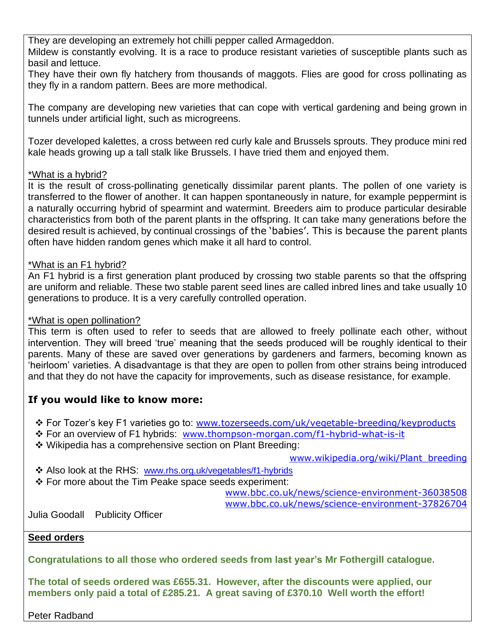They are developing an extremely hot chilli pepper called Armageddon. Mildew is constantly evolving. It is a race to produce resistant varieties of susceptible plants such as basil and lettuce.

They have their own fly hatchery from thousands of maggots. Flies are good for cross pollinating as they fly in a random pattern. Bees are more methodical.

The company are developing new varieties that can cope with vertical gardening and being grown in tunnels under artificial light, such as microgreens.

Tozer developed kalettes, a cross between red curly kale and Brussels sprouts. They produce mini red kale heads growing up a tall stalk like Brussels. I have tried them and enjoyed them.

#### \*What is a hybrid?

It is the result of cross-pollinating genetically dissimilar parent plants. The pollen of one variety is transferred to the flower of another. It can happen spontaneously in nature, for example peppermint is a naturally occurring hybrid of spearmint and watermint. Breeders aim to produce particular desirable characteristics from both of the parent plants in the offspring. It can take many generations before the desired result is achieved, by continual crossings of the 'babies'. This is because the parent plants often have hidden random genes which make it all hard to control.

#### \*What is an F1 hybrid?

An F1 hybrid is a first generation plant produced by crossing two stable parents so that the offspring are uniform and reliable. These two stable parent seed lines are called inbred lines and take usually 10 generations to produce. It is a very carefully controlled operation.

#### \*What is open pollination?

This term is often used to refer to seeds that are allowed to freely pollinate each other, without intervention. They will breed 'true' meaning that the seeds produced will be roughly identical to their parents. Many of these are saved over generations by gardeners and farmers, becoming known as 'heirloom' varieties. A disadvantage is that they are open to pollen from other strains being introduced and that they do not have the capacity for improvements, such as disease resistance, for example.

## **If you would like to know more:**

❖ For Tozer's key F1 varieties go to: [www.tozerseeds.com/uk/vegetable-breeding/keyproducts](http://www.tozerseeds.com/uk/vegetable-breeding/keyproducts)

- ❖ For an overview of F1 hybrids: [www.thompson-morgan.com/f1-hybrid-what-is-it](http://www.thompson-morgan.com/f1-hybrid-what-is-it)
- ❖ Wikipedia has a comprehensive section on Plant Breeding:

[www.wikipedia.org/wiki/Plant\\_breeding](http://www.wikipedia.org/wiki/Plant_breeding)

- ❖ Also look at the RHS: [www.rhs.org.uk/vegetables/f1-hybrids](http://www.rhs.org.uk/vegetables/f1-hybrids)
- ❖ For more about the Tim Peake space seeds experiment:

[www.bbc.co.uk/news/science-environment-36038508](http://www.bbc.co.uk/news/science-environment-36038508) [www.bbc.co.uk/news/science-environment-37826704](http://www.bbc.co.uk/news/science-environment-37826704)

Julia Goodall Publicity Officer

#### **Seed orders**

**Congratulations to all those who ordered seeds from last year's Mr Fothergill catalogue.**

**The total of seeds ordered was £655.31. However, after the discounts were applied, our members only paid a total of £285.21. A great saving of £370.10 Well worth the effort!** 

Peter Radband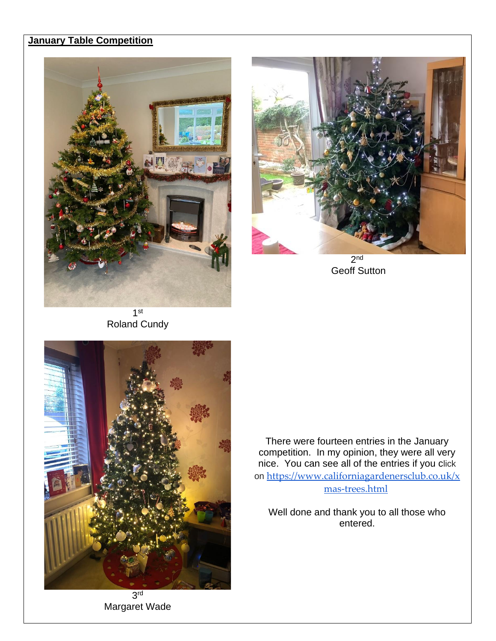## **January Table Competition**





2 nd Geoff Sutton

1 st Roland Cundy



3 rd Margaret Wade

There were fourteen entries in the January competition. In my opinion, they were all very nice. You can see all of the entries if you click on [https://www.californiagardenersclub.co.uk/x](https://www.californiagardenersclub.co.uk/xmas-trees.html) [mas-trees.html](https://www.californiagardenersclub.co.uk/xmas-trees.html)

Well done and thank you to all those who entered.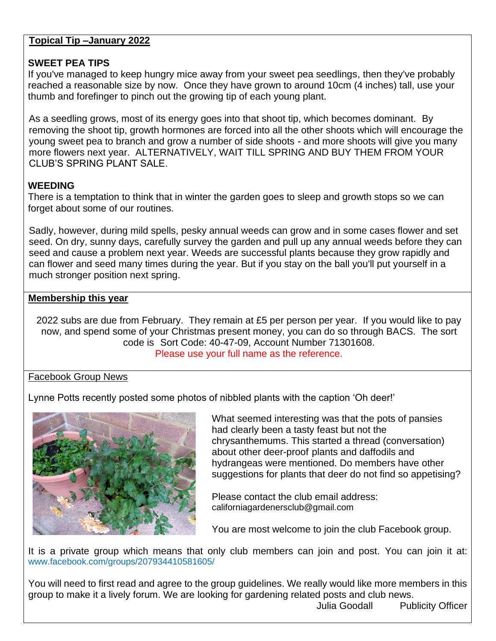#### **Topical Tip –January 2022**

### **SWEET PEA TIPS**

If you've managed to keep hungry mice away from your sweet pea seedlings, then they've probably reached a reasonable size by now. Once they have grown to around 10cm (4 inches) tall, use your thumb and forefinger to pinch out the growing tip of each young plant.

As a seedling grows, most of its energy goes into that shoot tip, which becomes dominant. By removing the shoot tip, growth hormones are forced into all the other shoots which will encourage the young sweet pea to branch and grow a number of side shoots - and more shoots will give you many more flowers next year. ALTERNATIVELY, WAIT TILL SPRING AND BUY THEM FROM YOUR CLUB'S SPRING PLANT SALE.

## **WEEDING**

There is a temptation to think that in winter the garden goes to sleep and growth stops so we can forget about some of our routines.

Sadly, however, during mild spells, pesky annual weeds can grow and in some cases flower and set seed. On dry, sunny days, carefully survey the garden and pull up any annual weeds before they can seed and cause a problem next year. Weeds are successful plants because they grow rapidly and can flower and seed many times during the year. But if you stay on the ball you'll put yourself in a much stronger position next spring.

## **Membership this year**

2022 subs are due from February. They remain at £5 per person per year. If you would like to pay now, and spend some of your Christmas present money, you can do so through BACS. The sort code is Sort Code: 40-47-09, Account Number 71301608. Please use your full name as the reference.

#### Facebook Group News

Lynne Potts recently posted some photos of nibbled plants with the caption 'Oh deer!'



What seemed interesting was that the pots of pansies had clearly been a tasty feast but not the chrysanthemums. This started a thread (conversation) about other deer-proof plants and daffodils and hydrangeas were mentioned. Do members have other suggestions for plants that deer do not find so appetising?

Please contact the club email address: [californiagardenersclub@gmail.com](mailto:californiagardenersclub@gmail.com)

You are most welcome to join the club Facebook group.

It is a private group which means that only club members can join and post. You can join it at: [www.facebook.com/groups/207934410581605/](http://www.facebook.com/groups/207934410581605/)

You will need to first read and agree to the group guidelines. We really would like more members in this group to make it a lively forum. We are looking for gardening related posts and club news.

Julia Goodall Publicity Officer